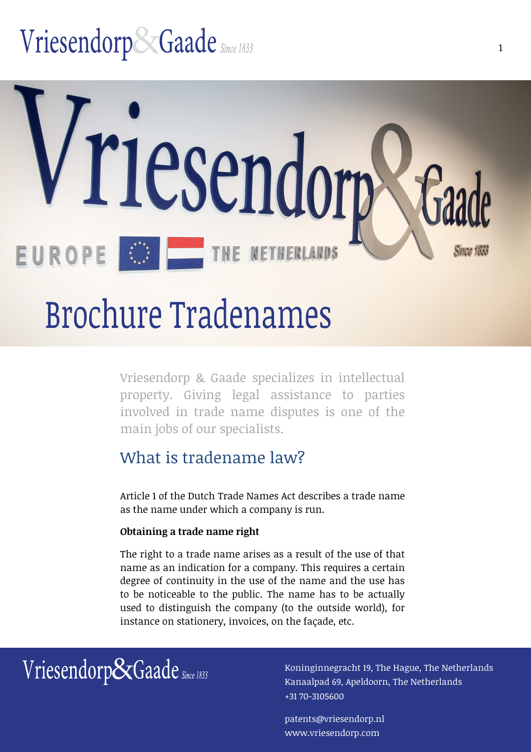# Vriesendorp&Gaade Since 1833



# **Brochure Tradenames**

Vriesendorp & Gaade specializes in intellectual property. Giving legal assistance to parties involved in trade name disputes is one of the main jobs of our specialists.

### What is tradename law?

Article 1 of the Dutch Trade Names Act describes a trade name as the name under which a company is run.

#### **Obtaining a trade name right**

The right to a trade name arises as a result of the use of that name as an indication for a company. This requires a certain degree of continuity in the use of the name and the use has to be noticeable to the public. The name has to be actually used to distinguish the company (to the outside world), for instance on stationery, invoices, on the façade, etc.

## $Vriesendo rpc\n$ Gaade  $Sine 1833$   $Vriesen 19$ , The Hague, The Netherlands

Kanaalpad 69, Apeldoorn, The Netherlands +31 70-3105600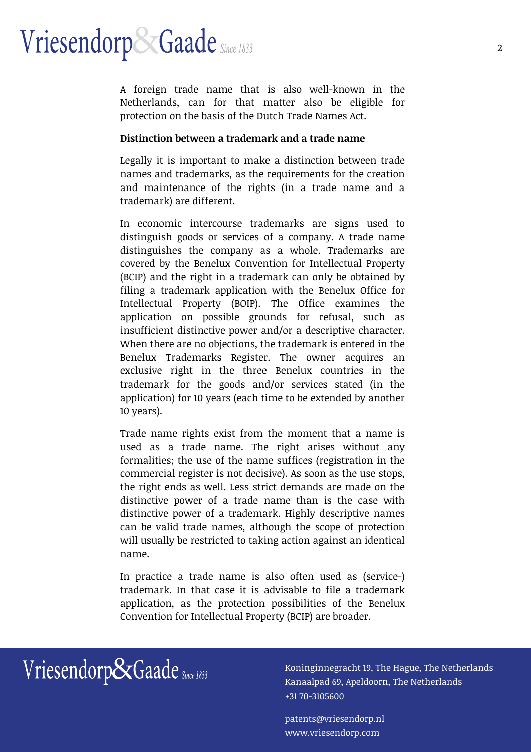A foreign trade name that is also well-known in the Netherlands, can for that matter also be eligible for protection on the basis of the Dutch Trade Names Act.

#### **Distinction between a trademark and a trade name**

Legally it is important to make a distinction between trade names and trademarks, as the requirements for the creation and maintenance of the rights (in a trade name and a trademark) are different.

In economic intercourse trademarks are signs used to distinguish goods or services of a company. A trade name distinguishes the company as a whole. Trademarks are covered by the Benelux Convention for Intellectual Property (BCIP) and the right in a trademark can only be obtained by filing a trademark application with the Benelux Office for Intellectual Property (BOIP). The Office examines the application on possible grounds for refusal, such as insufficient distinctive power and/or a descriptive character. When there are no objections, the trademark is entered in the Benelux Trademarks Register. The owner acquires an exclusive right in the three Benelux countries in the trademark for the goods and/or services stated (in the application) for 10 years (each time to be extended by another 10 years).

Trade name rights exist from the moment that a name is used as a trade name. The right arises without any formalities; the use of the name suffices (registration in the commercial register is not decisive). As soon as the use stops, the right ends as well. Less strict demands are made on the distinctive power of a trade name than is the case with distinctive power of a trademark. Highly descriptive names can be valid trade names, although the scope of protection will usually be restricted to taking action against an identical name.

In practice a trade name is also often used as (service-) trademark. In that case it is advisable to file a trademark application, as the protection possibilities of the Benelux Convention for Intellectual Property (BCIP) are broader.

## $Vriesendorp & Gaade$  Since 1833 [Koninginnegracht 19, The Hague, The Netherlands

Kanaalpad 69, Apeldoorn, The Netherlands +31 70-3105600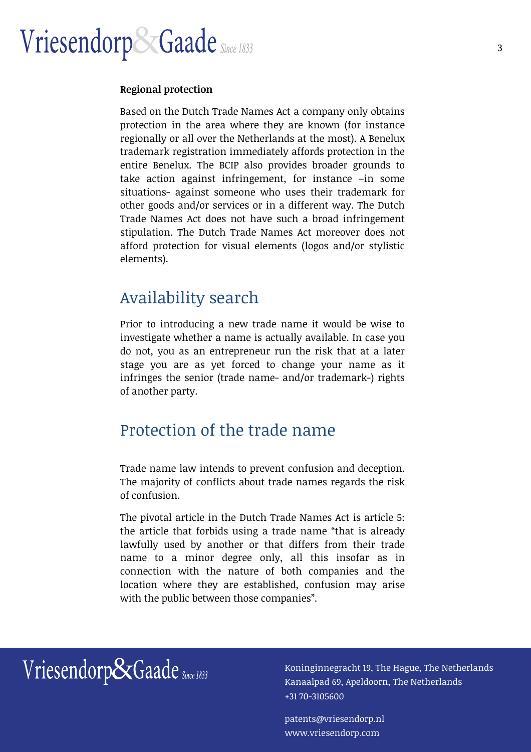#### **Regional protection**

Based on the Dutch Trade Names Act a company only obtains protection in the area where they are known (for instance regionally or all over the Netherlands at the most). A Benelux trademark registration immediately affords protection in the entire Benelux. The BCIP also provides broader grounds to take action against infringement, for instance –in some situations- against someone who uses their trademark for other goods and/or services or in a different way. The Dutch Trade Names Act does not have such a broad infringement stipulation. The Dutch Trade Names Act moreover does not afford protection for visual elements (logos and/or stylistic elements).

### Availability search

Prior to introducing a new trade name it would be wise to investigate whether a name is actually available. In case you do not, you as an entrepreneur run the risk that at a later stage you are as yet forced to change your name as it infringes the senior (trade name- and/or trademark-) rights of another party.

### Protection of the trade name

Trade name law intends to prevent confusion and deception. The majority of conflicts about trade names regards the risk of confusion.

The pivotal article in the Dutch Trade Names Act is article 5: the article that forbids using a trade name "that is already lawfully used by another or that differs from their trade name to a minor degree only, all this insofar as in connection with the nature of both companies and the location where they are established, confusion may arise with the public between those companies".

 $Vriesendo rpc\n$ Gaade  $Sine 1833$   $Vriesen 19$ , The Hague, The Netherlands

Kanaalpad 69, Apeldoorn, The Netherlands +31 70-3105600